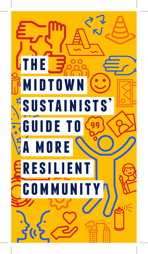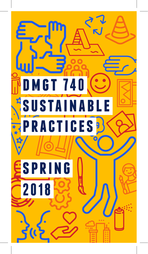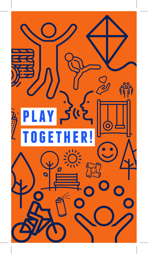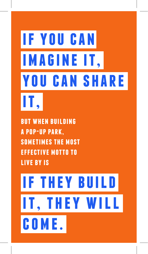## **IF YOU CAN imagine it, YOU CAN SHARE it,**

**but when building a pop-up park, sometimes the most effective motto to live by is**

## **if they build it, they will c o m e .**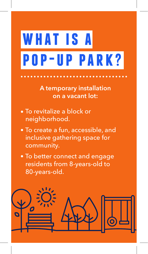### **WHAT IS A pop-up park?**

**A temporary installation on a vacant lot:** 

- To revitalize a block or neighborhood.
- To create a fun, accessible, and inclusive gathering space for community.
- To better connect and engage residents from 8-years-old to 80-years-old.

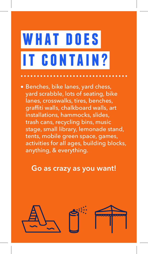## **what does it contain?**

· Benches, bike lanes, yard chess, yard scrabble, lots of seating, bike lanes, crosswalks, tires, benches, graffiti walls, chalkboard walls, art installations, hammocks, slides, trash cans, recycling bins, music stage, small library, lemonade stand, tents, mobile green space, games, activities for all ages, building blocks, anything, & everything.

### **Go as crazy as you want!**

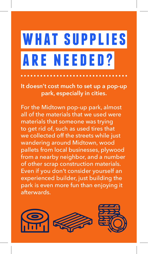## **what supplies are needed?**

**It doesn't cost much to set up a pop-up park, especially in cities.**

For the Midtown pop-up park, almost all of the materials that we used were materials that someone was trying to get rid of, such as used tires that we collected off the streets while just wandering around Midtown, wood pallets from local businesses, plywood from a nearby neighbor, and a number of other scrap construction materials. Even if you don't consider yourself an experienced builder, just building the park is even more fun than enjoying it afterwards.

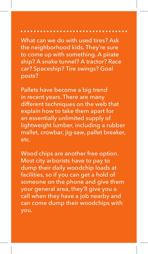What can we do with used tires? Ask the neighborhood kids. They're sure to come up with something. A pirate ship? A snake tunnel? A tractor? Race car? Spaceship? Tire swings? Goal posts?

Pallets have become a big trend in recent years. There are many different techniques on the web that explain how to take them apart for an essentially unlimited supply of lightweight lumber, including a rubber mallet, crowbar, jig-saw, pallet breaker, etc.

Wood chips are another free option. Most city arborists have to pay to dump their daily woodchip loads at facilities, so if you can get a hold of someone on the phone and give them your general area, they'll give you a call when they have a job nearby and can come dump their woodchips with you.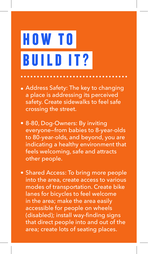# **how to build it?**

- Address Safety: The key to changing a place is addressing its perceived safety. Create sidewalks to feel safe crossing the street.
- 8-80, Dog-Owners: By inviting everyone—from babies to 8-year-olds to 80-year-olds, and beyond, you are indicating a healthy environment that feels welcoming, safe and attracts other people.
- Shared Access: To bring more people into the area, create access to various modes of transportation. Create bike lanes for bicycles to feel welcome in the area; make the area easily accessible for people on wheels (disabled); install way-finding signs that direct people into and out of the area; create lots of seating places.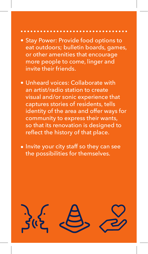- Stay Power: Provide food options to eat outdoors; bulletin boards, games, or other amenities that encourage more people to come, linger and invite their friends.
- Unheard voices: Collaborate with an artist/radio station to create visual and/or sonic experience that captures stories of residents, tells identity of the area and offer ways for community to express their wants, so that its renovation is designed to reflect the history of that place.
- Invite your city staff so they can see the possibilities for themselves.

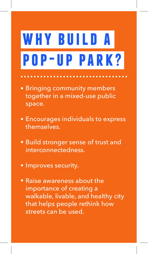### **why build a pop-up park?**

- Bringing community members together in a mixed-use public space.
- Encourages individuals to express themselves.
- Build stronger sense of trust and interconnectedness.
- Improves security.
- Raise awareness about the importance of creating a walkable, livable, and healthy city that helps people rethink how streets can be used.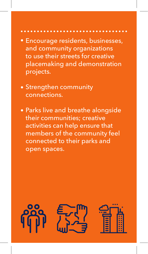- Encourage residents, businesses, and community organizations to use their streets for creative placemaking and demonstration projects.
- Strengthen community connections.
- Parks live and breathe alongside their communities; creative activities can help ensure that members of the community feel connected to their parks and open spaces.





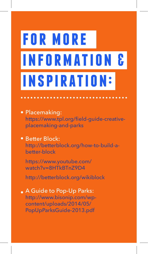## **for more information & inspiration:**

- Placemaking: https://www.tpl.org/field-guide-creativeplacemaking-and-parks
- Better Block: http://betterblock.org/how-to-build-abetter-block

https://www.youtube.com/ watch?v=8HTkBTnZ9D4

http://betterblock.org/wikiblock

A Guide to Pop-Up Parks: http://www.bisonip.com/wpcontent/uploads/2014/05/ PopUpParksGuide-2013.pdf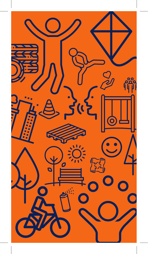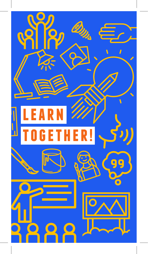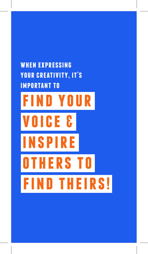### **find your voice & i n s p i r e others to find theirs! when expressing your creativity, it's important to**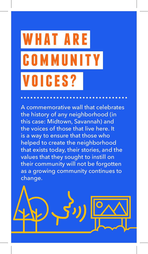## **what are community voices?**

A commemorative wall that celebrates the history of any neighborhood (in this case: Midtown, Savannah) and the voices of those that live here. It is a way to ensure that those who helped to create the neighborhood that exists today, their stories, and the values that they sought to instill on their community will not be forgotten as a growing community continues to change.

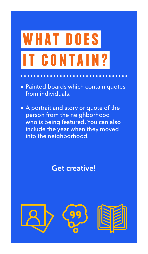### **what does it contain?**

- Painted boards which contain quotes from individuals.
- A portrait and story or quote of the person from the neighborhood who is being featured. You can also include the year when they moved into the neighborhood.

### **Get creative!**

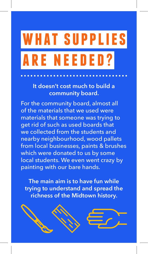### **what supplies are needed?**

**It doesn't cost much to build a community board.**

For the community board, almost all of the materials that we used were materials that someone was trying to get rid of such as used boards that we collected from the students and nearby neighbourhood, wood pallets from local businesses, paints & brushes which were donated to us by some local students. We even went crazy by painting with our bare hands.

**The main aim is to have fun while trying to understand and spread the richness of the Midtown history.**

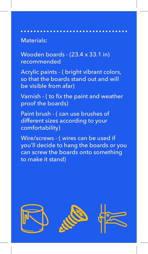### Materials:

Wooden boards - (23.4 x 33.1 in) recommended

Acrylic paints - ( bright vibrant colors, so that the boards stand out and will be visible from afar)

Varnish - ( to fix the paint and weather proof the boards)

Paint brush - ( can use brushes of different sizes according to your comfortability)

Wire/screws - ( wires can be used if you'll decide to hang the boards or you can screw the boards onto something to make it stand)

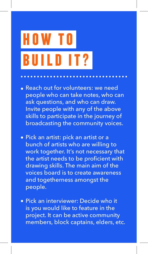# **how to build it?**

- Reach out for volunteers: we need people who can take notes, who can ask questions, and who can draw. Invite people with any of the above skills to participate in the journey of broadcasting the community voices.
- Pick an artist: pick an artist or a bunch of artists who are willing to work together. It's not necessary that the artist needs to be proficient with drawing skills. The main aim of the voices board is to create awareness and togetherness amongst the people.
- Pick an interviewer: Decide who it is you would like to feature in the project. It can be active community members, block captains, elders, etc.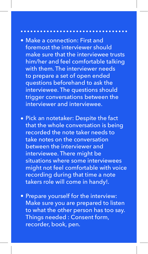- Make a connection: First and foremost the interviewer should make sure that the interviewee trusts him/her and feel comfortable talking with them. The interviewer needs to prepare a set of open ended questions beforehand to ask the interviewee. The questions should trigger conversations between the interviewer and interviewee.
- Pick an notetaker: Despite the fact that the whole conversation is being recorded the note taker needs to take notes on the conversation between the interviewer and interviewee. There might be situations where some interviewees might not feel comfortable with voice recording during that time a note takers role will come in handy!.
- Prepare yourself for the interview: Make sure you are prepared to listen to what the other person has too say. Things needed : Consent form, recorder, book, pen.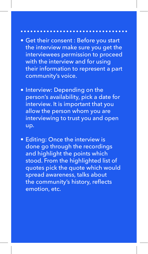- Get their consent : Before you start the interview make sure you get the interviewees permission to proceed with the interview and for using their information to represent a part community's voice.
- Interview: Depending on the person's availability, pick a date for interview. It is important that you allow the person whom you are interviewing to trust you and open up.
- **Editing: Once the interview is** done go through the recordings and highlight the points which stood. From the highlighted list of quotes pick the quote which would spread awareness, talks about the community's history, reflects emotion, etc.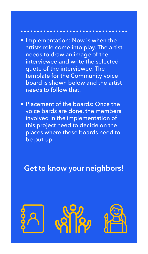- Implementation: Now is when the artists role come into play. The artist needs to draw an image of the interviewee and write the selected quote of the interviewee. The template for the Community voice board is shown below and the artist needs to follow that.
- Placement of the boards: Once the voice bards are done, the members involved in the implementation of this project need to decide on the places where these boards need to be put-up.

### **Get to know your neighbors!**





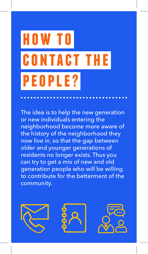# **W T contact the people?**

The idea is to help the new generation or new individuals entering the neighborhood become more aware of the history of the neighborhood they now live in, so that the gap between older and younger generations of residents no longer exists. Thus you can try to get a mix of new and old generation people who will be willing to contribute for the betterment of the community.





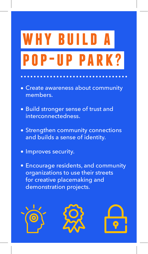## **why build a pop-up park?**

- Create awareness about community members.
- Build stronger sense of trust and interconnectedness.
- Strengthen community connections and builds a sense of identity.
- Improves security.
- Encourage residents, and community organizations to use their streets for creative placemaking and demonstration projects.





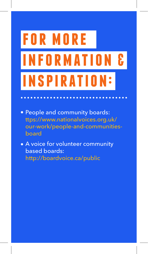# **for more information & inspiration:**

- People and community boards: ttps://www.nationalvoices.org.uk/ our-work/people-and-communitiesboard
- **A** voice for volunteer community based boards: http://boardvoice.ca/public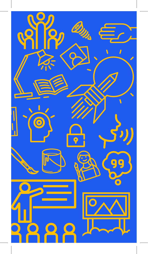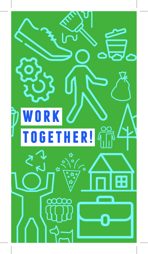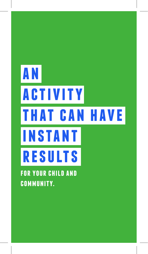### **a n results activity that can have instant for your child and community.**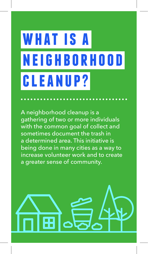## **what is a neighborhood cleanup?**

A neighborhood cleanup is a gathering of two or more individuals with the common goal of collect and sometimes document the trash in a determined area. This initiative is being done in many cities as a way to increase volunteer work and to create a greater sense of community.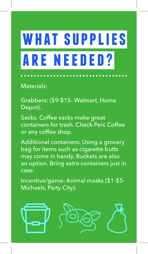## **what supplies are needed?**

Materials:

Grabbers: (\$9-\$15- Walmart, Home Depot).

Sacks: Coffee sacks make great containers for trash. Check Perc Coffee or any coffee shop.

Additional containers: Using a grocery bag for items such as cigarette butts may come in handy. Buckets are also an option. Bring extra containers just in case.

Incentive/game: Animal masks (\$1-\$5- Michaels, Party City).

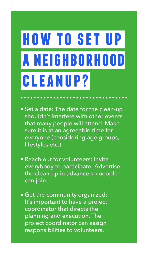## **how to set up a neighborhood cleanup?**

- Set a date: The date for the clean-up shouldn't interfere with other events that many people will attend. Make sure it is at an agreeable time for everyone (considering age groups, lifestyles etc.).
- Reach out for volunteers: Invite everybody to participate: Advertise the clean-up in advance so people can join.
- Get the community organized: It's important to have a project coordinator that directs the planning and execution. The project coordinator can assign responsibilities to volunteers.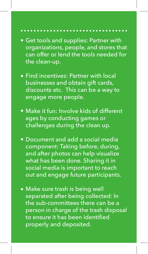- Get tools and supplies: Partner with organizations, people, and stores that can offer or lend the tools needed for the clean-up.
- Find incentives: Partner with local businesses and obtain gift cards, discounts etc. This can be a way to engage more people.
- Make it fun: Involve kids of different ages by conducting games or challenges during the clean up.
- Document and add a social media component: Taking before, during, and after photos can help visualize what has been done. Sharing it in social media is important to reach out and engage future participants.
- Make sure trash is being well separated after being collected: In the sub-committees there can be a person in charge of the trash disposal to ensure it has been identified properly and deposited.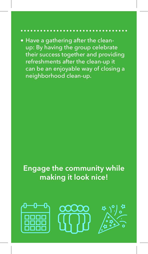• Have a gathering after the cleanup: By having the group celebrate their success together and providing refreshments after the clean-up it can be an enjoyable way of closing a neighborhood clean-up.

### **Engage the community while making it look nice!**





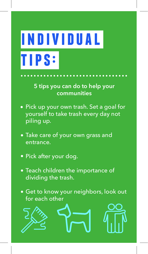# **tips: individual**

**5 tips you can do to help your communities**

- Pick up your own trash. Set a goal for yourself to take trash every day not piling up.
- Take care of your own grass and entrance.
- Pick after your dog.
- Teach children the importance of dividing the trash.
- Get to know your neighbors, look out for each other

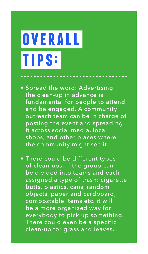# **o v e r a l l tips:**

- **Spread the word: Advertising** the clean-up in advance is fundamental for people to attend and be engaged. A community outreach team can be in charge of posting the event and spreading it across social media, local shops, and other places where the community might see it.
- . There could be different types of clean-ups: If the group can be divided into teams and each assigned a type of trash: cigarette butts, plastics, cans, random objects, paper and cardboard, compostable items etc. it will be a more organized way for everybody to pick up something. There could even be a specific clean-up for grass and leaves.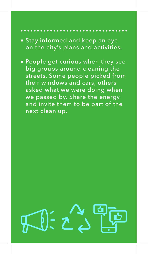- Stay informed and keep an eye on the city's plans and activities.
- People get curious when they see big groups around cleaning the streets. Some people picked from their windows and cars, others asked what we were doing when we passed by. Share the energy and invite them to be part of the next clean up.

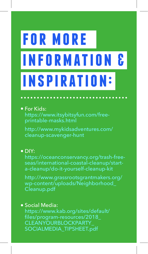# **for more information & inspiration:**

### For Kids:

https://www.itsybitsyfun.com/freeprintable-masks.html

http://www.mykidsadventures.com/ cleanup-scavenger-hunt

### DIY:

https://oceanconservancy.org/trash-freeseas/international-coastal-cleanup/starta-cleanup/do-it-yourself-cleanup-kit

http://www.grassrootsgrantmakers.org/ wp-content/uploads/Neighborhood\_ Cleanup.pdf

### Social Media:

https://www.kab.org/sites/default/ files/program-resources/2018\_ CLEANYOURBLOCKPARTY\_ SOCIALMEDIA\_TIPSHEET.pdf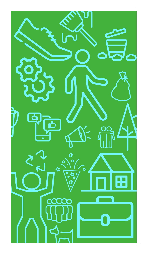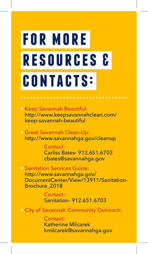## **for more resources & contacts:**

- Keep Savannah Beautiful: http://www.keepsavannahclean.com/ keep-savannah-beautiful
- Great Savannah Clean-Up: http://www.savannahga.gov/cleanup

Contact: Carliss Bates- 912.651.6703 cbates@savannahga.gov

**• Sanitation Services Guide:** http://www.savannahga.gov/ DocumentCenter/View/13911/Sanitation-Brochure\_2018

> Contact: Sanitation- 912.651.6703

**• City of Savannah Community Outreach:** 

Contact: Katherine Milcarek kmilcarek@savannahga.gov